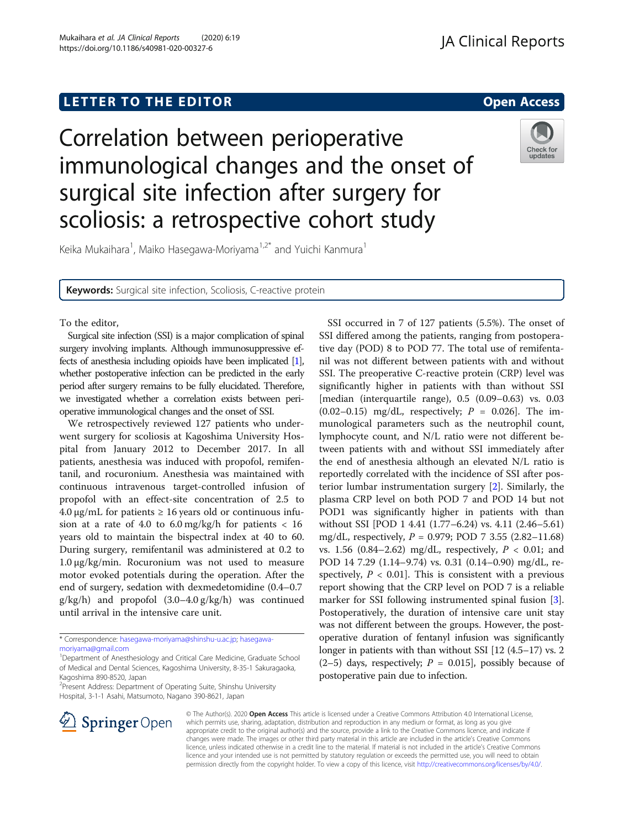# **LETTER TO THE EDITOR CONSTRUCTED ACCESS**

Correlation between perioperative immunological changes and the onset of surgical site infection after surgery for scoliosis: a retrospective cohort study



Keika Mukaihara<sup>1</sup>, Maiko Hasegawa-Moriyama<sup>1,2\*</sup> and Yuichi Kanmura<sup>1</sup>

Keywords: Surgical site infection, Scoliosis, C-reactive protein

## To the editor,

Surgical site infection (SSI) is a major complication of spinal surgery involving implants. Although immunosuppressive effects of anesthesia including opioids have been implicated [\[1\]](#page-1-0), whether postoperative infection can be predicted in the early period after surgery remains to be fully elucidated. Therefore, we investigated whether a correlation exists between perioperative immunological changes and the onset of SSI.

We retrospectively reviewed 127 patients who underwent surgery for scoliosis at Kagoshima University Hospital from January 2012 to December 2017. In all patients, anesthesia was induced with propofol, remifentanil, and rocuronium. Anesthesia was maintained with continuous intravenous target-controlled infusion of propofol with an effect-site concentration of 2.5 to 4.0 μg/mL for patients  $\geq$  16 years old or continuous infusion at a rate of 4.0 to  $6.0 \text{ mg/kg/h}$  for patients < 16 years old to maintain the bispectral index at 40 to 60. During surgery, remifentanil was administered at 0.2 to 1.0 μg/kg/min. Rocuronium was not used to measure motor evoked potentials during the operation. After the end of surgery, sedation with dexmedetomidine (0.4–0.7 g/kg/h) and propofol (3.0–4.0 g/kg/h) was continued until arrival in the intensive care unit.

<sup>2</sup> Present Address: Department of Operating Suite, Shinshu University Hospital, 3-1-1 Asahi, Matsumoto, Nagano 390-8621, Japan





© The Author(s). 2020 Open Access This article is licensed under a Creative Commons Attribution 4.0 International License, which permits use, sharing, adaptation, distribution and reproduction in any medium or format, as long as you give appropriate credit to the original author(s) and the source, provide a link to the Creative Commons licence, and indicate if changes were made. The images or other third party material in this article are included in the article's Creative Commons licence, unless indicated otherwise in a credit line to the material. If material is not included in the article's Creative Commons licence and your intended use is not permitted by statutory regulation or exceeds the permitted use, you will need to obtain permission directly from the copyright holder. To view a copy of this licence, visit <http://creativecommons.org/licenses/by/4.0/>.

<sup>\*</sup> Correspondence: [hasegawa-moriyama@shinshu-u.ac.jp;](mailto:hasegawa-moriyama@shinshu-u.ac.jp) [hasegawa](mailto:hasegawa-moriyama@gmail.com)[moriyama@gmail.com](mailto:hasegawa-moriyama@gmail.com)

<sup>&</sup>lt;sup>1</sup>Department of Anesthesiology and Critical Care Medicine, Graduate School of Medical and Dental Sciences, Kagoshima University, 8-35-1 Sakuragaoka, Kagoshima 890-8520, Japan